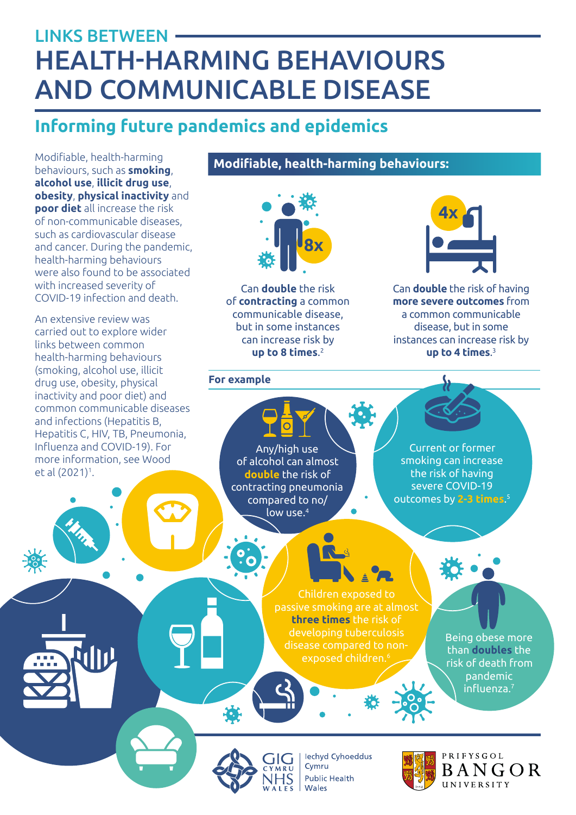# HEALTH-HARMING BEHAVIOURS AND COMMUNICABLE DISEASE LINKS BETWEEN

# **Informing future pandemics and epidemics**

Modifiable, health-harming behaviours, such as **smoking**, **alcohol use**, **illicit drug use**, **obesity**, **physical inactivity** and **poor diet** all increase the risk of non-communicable diseases, such as cardiovascular disease and cancer. During the pandemic, health-harming behaviours were also found to be associated with increased severity of COVID-19 infection and death.

An extensive review was carried out to explore wider links between common health-harming behaviours (smoking, alcohol use, illicit drug use, obesity, physical inactivity and poor diet) and common communicable diseases and infections (Hepatitis B, Hepatitis C, HIV, TB, Pneumonia, Influenza and COVID-19). For more information, see Wood et al (2021)1 .

**Modifiable, health-harming behaviours:**



Can **double** the risk of **contracting** a common communicable disease, but in some instances can increase risk by **up to 8 times**. 2

#### **For example**



Can **double** the risk of having **more severe outcomes** from a common communicable disease, but in some instances can increase risk by **up to 4 times**. 3





**lechyd Cyhoeddus** Cymru **Public Health** Wales